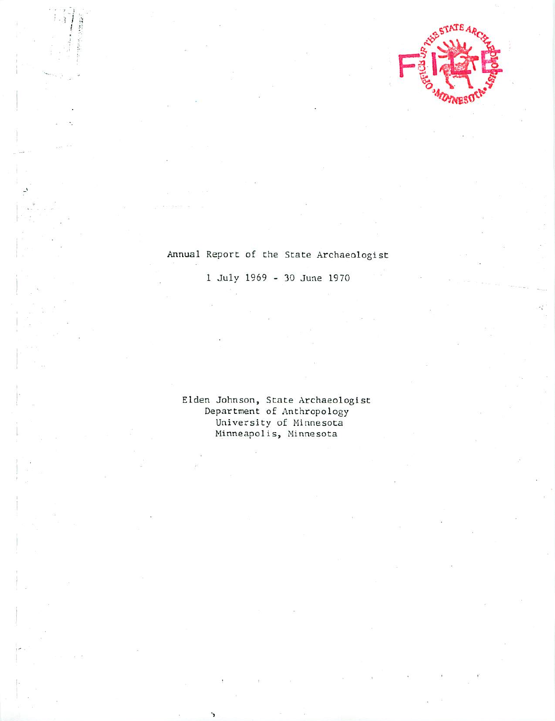

# Annual Report of the State Archaeologist

July 1969 30 June 1970

Elden Johnson, State Archaeologist Department of Anthropology University of Minnesota Minneapolis, Minnesota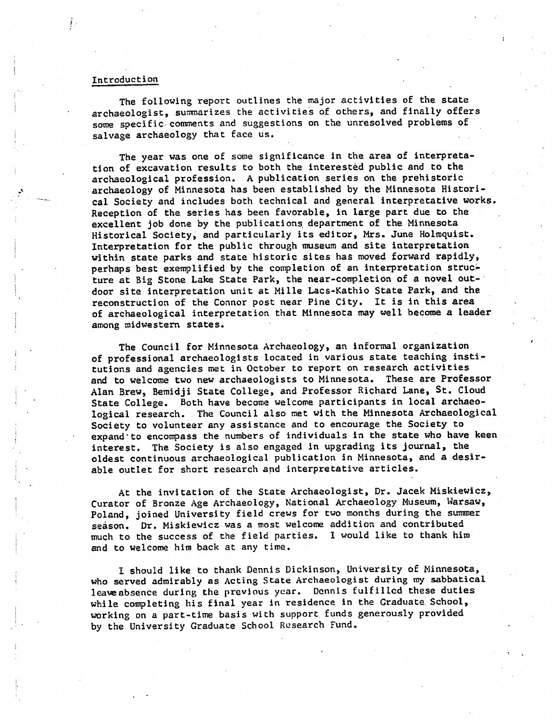#### Introduction

The following report outlines the major activities of the state archaeologist, summarizes the activities of others, and finally offers some specific comments and suggestions on the unresolved problems of salvage archaeology that face us.

The year was one of some significance in the area of interpreta tion of excavation results to both the interested public and to the archaeological profession. A publication series on the prehistoric archaeology of Minnesota has been established by the Minnesota Histori cal Society and includes both technical and general interpretative works. Reception of the series has been favorable, in large part due to the excellent job done by the publications department of the Minnesota Historical Society, and particularly its editor, Mrs. June Holraquist. Interpretation for the public through museum and site interpretation within state parks and state historic sites has moved forward rapidly, perhaps best exemplified by the completion of an interpretation struc ture at Big Stone Lake State Park, the near-completion of a novel outdoor site interpretation unit at Mille Lacs-Kathio State Park, and the reconstruction of the Connor post near Pine City. It is in this area of archaeological interpretation that Minnesota may well become a leader among midwestern states.

The Council for Minnesota Archaeology, an informal organization of professional archaeologists located in various state teaching insti tutions and agencies met in October to report on research activities and to welcome two new archaeologists to Minnesota. These are Professor Alan Brew, Bemidji State College, and Professor Richard Lane, St. Cloud State College. Both have become welcome participants in local archaeo logical research. The Council also met with the Minnesota Archaeological Society to volunteer any assistance and to encourage the Society to expand"to encompass the numbers of individuals in the state who have keen interest. The Society is also engaged in upgrading its journal, the oldest continuous archaeological publication in Minnesota, and a desirable outlet for short research and interpretative articles.

At the invitation of the State Archaeologist, Dr. Jacek Miskiewicz, Curator of Bronze Age Archaeology, National Archaeology Museum, Warsaw, Poland, joined University field crews for two months during the summer season. Dr. Miskiewicz was a most welcome addition and contributed much to the success of the field parties. I would like to thank him and to welcome him back at any time.

should like to thank Dennis Dickinson, University of Minnesota, who served admirably as Acting State Archaeologist during my sabbatical leawabsence during the previous year. Dennis fulfilled these duties while completing his final year in residence in the Graduate School, working on a part-time basis with support funds generously provided by the University Graduate School Research Fund.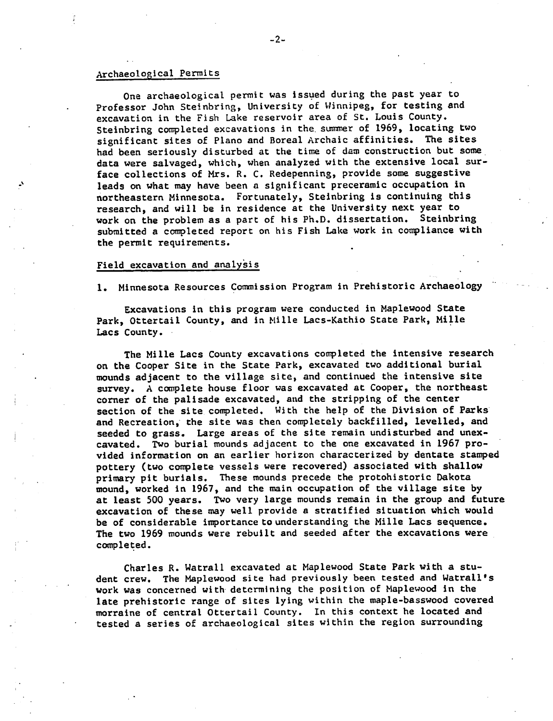#### Archaeological Permits

Ona archaeological permit was issued during the past year to Professor John Steinbring, University of Winnipeg, for testing and excavation in the Fish Lake reservoir area of St. Louis County. Steinbring completed excavations in the. summer of 1969, locating two significant sites of Piano and Boreal Archaic affinities. The sites had been seriously disturbed at the time of dam construction but some data were salvaged, which, when analyzed with the extensive local sur face collections of Mrs. R. C. Redepenning, provide some suggestive leads on what may have been a significant preceramic occupation in northeastern Minnesota. Fortunately, Steinbring is continuing this research, and will be in residence at the University next year to work on the problem as a part of his Ph.D. dissertation. Steinbring submitted a completed report on his Fish Lake work in compliance with the permit requirements.

#### Field excavation and analysis

1. Minnesota Resources Commission Program in Prehistoric Archaeology

Excavations in this program were conducted in Maplewood State Park, Ottertail County, and in Mille Lacs-Kathio State Park, Mille Lacs County.

The Mille Lacs County excavations completed the intensive research on the Cooper Site in the State Park, excavated two additional burial mounds adjacent to the village site, and continued the intensive site survey. A complete house floor was excavated at Cooper, the northeast corner of the palisade excavated, and the stripping of the center section of the site completed. With the help of the Division of Parks and Recreation, the site was then completely backfilled, levelled, and seeded to grass. Large areas of the site remain undisturbed and unexcavated. Two burial mounds adjacent to the one excavated in 1967 pro vided information on an earlier horizon characterized by dentate stamped pottery (two complete vessels were recovered) associated with shallow primary pit burials. These mounds precede the protohistoric Dakota mound, worked in 1967, and the main occupation of the village site by at least 500 years. Two very large mounds remain in the group and future excavation of these may well provide a stratified situation which would be of considerable importance to understanding the Mille Lacs sequence. The two 1969 mounds were rebuilt and seeded after the excavations were completed.

Charles R. Watrall excavated at Maplewood State Park with a student crew. The Maplewood site had previously been tested and Watrall's work was concerned with determining the position of Maplewood in the late prehistoric range of sites lying within the maple-basswood covered morraine of central Ottertail County. In this context he located and tested a series of archaeological sites within the region surrounding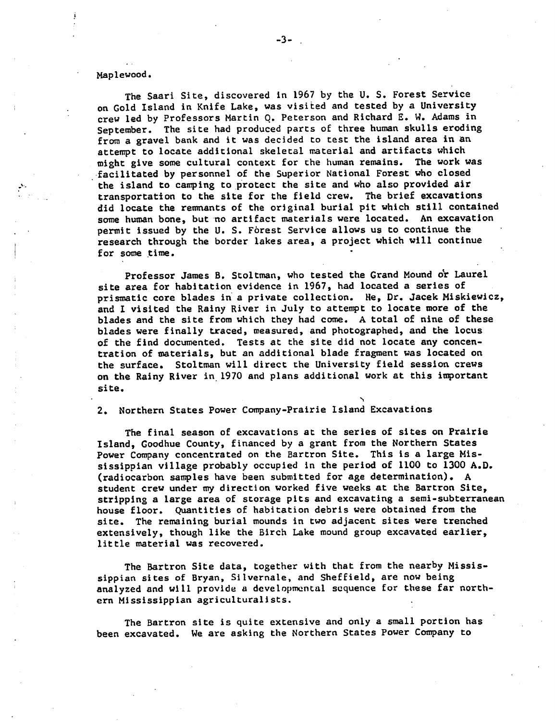#### Maplewood.

The Saari Site, discovered in 1967 by the U. S. Forest Service on Gold Island in Knife Lake, was visited and tested by a University crew led by Professors Martin 0. Peterson and Richard E. W. Adams in September. The site had produced parts of three human skulls eroding from a gravel bank and it was decided to test the island area in an attempt to locate additional skeletal material and artifacts which might give some cultural context for the human remains. The work was facilitated by personnel of the Superior National Forest who closed the island to camping to protect the site and who also provided air transportation to the site for the field crew. The brief excavations did locate the remnants of the original burial pit which still contained some human bone, but no artifact materials were located. An excavation permit issued by the U. S. Forest Service allows us to continue the research through the border lakes area, a project which will continue for some time.

Professor James B. Stoltman, who tested the Grand Mound or Laurel site area for habitation evidence in 1967, had located a series of prismatic core blades in a private collection. He, Dr. Jacek Miskiewicz, and I visited the Rainy River in July to attempt to locate more of the blades and the site from which they had come. A total of nine of these blades were finally traced, measured, and photographed, and the locus of the find documented. Tests at the site did not locate any concen tration of materials, but an additional blade fragment was located on the surface. Stoltman will direct the University field session crews on the Rainy River in 1970 and plans additional work at this important site.

2. Northern States Power Company-Prairie Island Excavations

The final season of excavations at the series of sites on Prairie Island, Goodhue County, financed by grant from the Northern States Power Company concentrated on the Bartron Site. This is a large Mississippian village probably occupied in the period of 1100 to 1300 A.D. (radiocarbon samples have been submitted for age determination). student crew under my direction worked five weeks at the Bartron Site, stripping a large area of storage pits and excavating a semi-subterranean house floor. Quantities of habitation debris were obtained from the site. The remaining burial mounds in two adjacent sites were trenched extensively, though like the Birch Lake mound group excavated earlier, little material was recovered.

The Bartron Site data, together with that from the nearby Mississippian sites of Bryan, Silvernale, and Sheffield, are now being analyzed and will provide a developmental sequence for these far northern Mississippian agriculturalists.

The Bartron site is quite extensive and only a small portion has been excavated. We are asking the Northern States Power Company to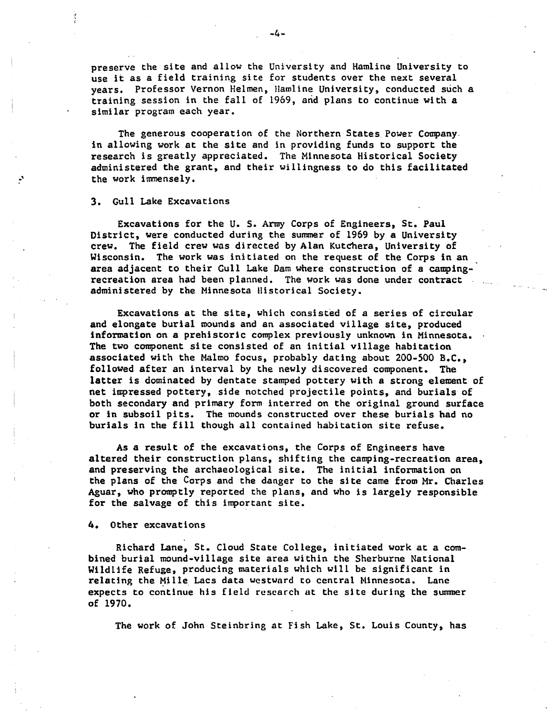preserve the site and allow the University and Hamline University to use it as a field training site for students over the next several years. Professor Vernon Helmen, Hamline University, conducted such training session in the fall of 1969, and plans to continue with similar program each year.

The generous cooperation of the Northern States Power Company. in allowing work at the site and in providing funds to support the research is greatly appreciated. The Minnesota Historical Society administered the grant, and their willingness to do this facilitated the work immensely.

3. Gull Lake Excavations

Excavations for the U. S. Army Corps of Engineers, St. Paul District, were conducted during the summer of 1969 by a University crew. The field crew was directed by Alan Kutchera, University of Wisconsin. The work was initiated on the request of the Corps in an area adjacent to their Gull Lake Dam where construction of a campingrecreation area had been planned. The work was done under contract administered by the Minnesota Historical Society.

Excavations at the site, which consisted of a series of circular and elongate burial mounds and an associated village site, produced information on a prehistoric complex previously unknown in Minnesota. The two component site consisted of an initial village habitation associated with the Maimo focus, probably dating about 200-500 B.C., followed after an interval by the newly discovered component. The latter is dominated by dentate stamped pottery with a strong element of net impressed pottery, side notched projectile points, and burials of both secondary and primary form interred on the original ground surface or in subsoil pits. The mounds constructed over these burials had no burials in the fill though all contained habitation site refuse.

As a result of the excavations, the Corps of Engineers have altered their construction plans, shifting the camping-recreation area, and preserving the archaeological site. The initial information on the plans of the Corps and the danger to the site came from Mr. Charles Aguar, who promptly reported the plans, and who is largely responsible for the salvage of this important site.

#### 4. Other excavations

Richard Lane, St. Cloud State College, initiated work at a com bined burial mound-village site area within the Sherburne National Wildlife Refuge, producing materials which will be significant in relating the Mille Lacs data westward to central Minnesota. Lane expects to continue his field research at the site during the summer of 1970.

The work of John Steinbring at Fish Lake, St. Louis County, has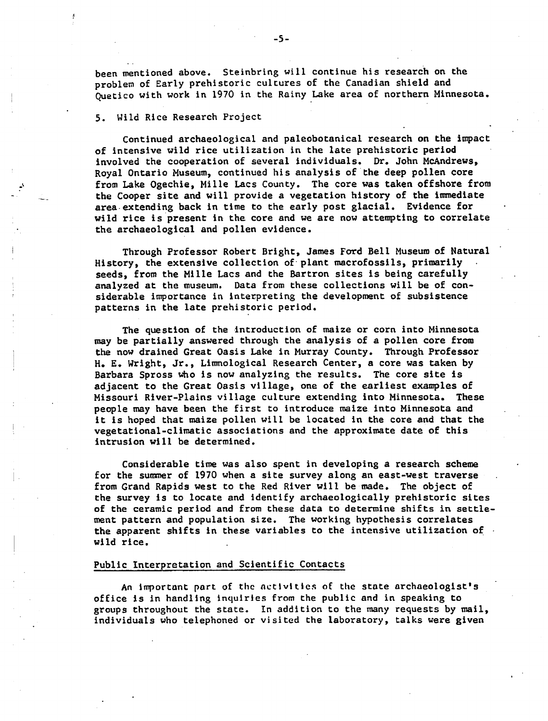been mentioned above. Steinbring will continue his research on the problem of Early prehistoric cultures of the Canadian shield and Quetico with work in 1970 in the Rainy Lake area of northern Minnesota.

#### 5. Wild Rice Research Project

Continued archaeological and paleobotanical research on the impact of intensive wild rice utilization in the late prehistoric period involved the cooperation of several individuals. Dr. John McAndrews, Royal Ontario Museum, continued his analysis of the deep pollen core from Lake Ogechie, Mille Lacs County. The core was taken offshore from the Cooper site and will provide a vegetation history of the immediate area extending back in time to the early post glacial. Evidence for wild rice is present in the core and we are now attempting to correlate the archaeological and pollen evidence.

Through Professor Robert Bright, James Ford Bell Museum of Natural History, the extensive collection of plant macrofossils, primarily seeds. from the Mille Lacs and the Bartron sites is being carefully analyzed at the museum. Data from these collections will be of con siderable importance in interpreting the development of subsistence patterns in the late prehistoric period.

The question of the introduction of maize or corn into Minnesota may be partially answered through the analysis of a pollen core from the now drained Great Oasis Lake in Murray County. Through Professor H. E. Wright, Jr., Limnological Research Center, a core was taken by Barbara Spross who is now analyzing the results. The core site is adjacent to the Great Oasis village, one of the earliest examples of Missouri River-Plains village culture extending into Minnesota. These people may have been the first to introduce maize into Minnesota and it is hoped that maize pollen will be located in the core and that the vegetational-climatic associations and the approximate date of this intrusion will be determined.

Considerable time was also spent in developing a research scheme for the summer of 1970 when a site survey along an east-west traverse from Grand Rapids west to the Red River will be made. The object of the survey is to locate and identify archaeologically prehistoric sites of the ceramic period and from these data to determine shifts in settle ment pattern and population size. The working hypothesis correlates the apparent shifts in these variables to the intensive utilization of wild rice.

## Public Interpretation and Scientific Contacts

An important port of the activities of the state archaeologist's office is in handling inquiries from the public and in speaking to groups throughout the state. In addition to the many requests by mail, individuals who telephoned or visited the laboratory, talks were given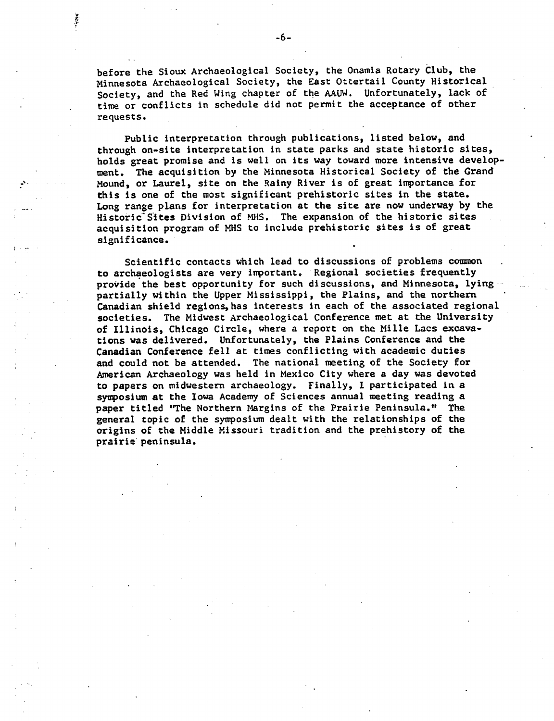before the Sioux Archaeological Society, the Onamia Rotary Club, the Minnesota Archaeological Society, the East Ottertail County Historical Society, and the Red Wing chapter of the AAUW. Unfortunately, lack of time or conflicts in schedule did not permit the acceptance of other requests.

Public interpretation through publications, listed below, and through on-site interpretation in state parks and state historic sites, holds great promise and is well on its way toward more intensive develop ment. The acquisition by the Minnesota Historical Society of the Grand Mound, or Laurel, site on the Rainy River is of great importance for this is one of the most significant prehistoric sites in the state. Long range plans for interpretation at the site are now underway by the Historic"Sites Division of MHS. The expansion of the historic sites acquisition program of MHS to include prehistoric sites is of great significance.

Scientific contacts which lead to discussions of problems common to archaeologists are very important. Regional societies frequently provide the best opportunity for such discussions, and Minnesota, lying partially within the Upper Mississippi, the Plains, and the northern Canadian shield regions, has interests in each of the associated regional societies. The Midwest Archaeological Conference met at the University of Illinois, Chicago Circle, where a report on the Mille Lacs excavations was delivered. Unfortunately, the Plains Conference and the Canadian Conference fell at times conflicting with academic duties and could not be attended. The national meeting of the Society for American Archaeology was held in Mexico City where a day was devoted to papers on midwestern archaeology. Finally, I participated in a symposium at the Iowa Academy of Sciences annual meeting reading paper titled 'The Northern Margins of the Prairie Peninsula." The general topic of the symposium dealt with the relationships of the origins of the Middle Missouri tradition and the prehistory of the prairie peninsula.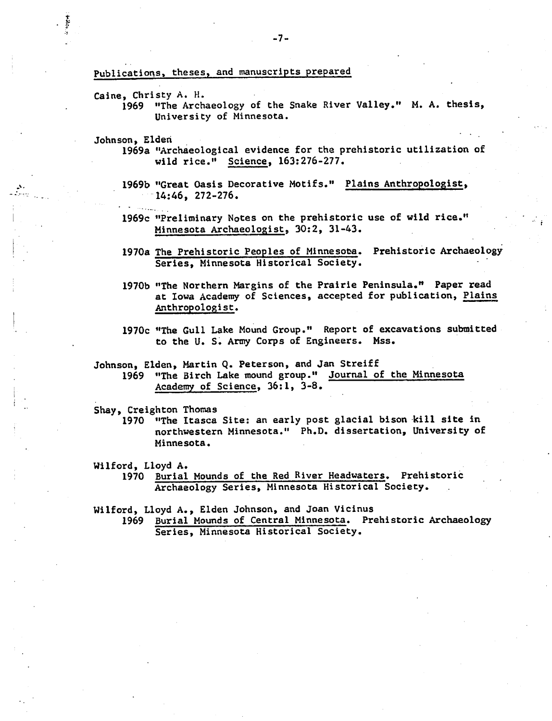## Publications, theses, and manuscripts prepared

- Caine, Christy A. H.
	- 1969 "The Archaeology of the Snake River Valley." M. A. thesis, University of Minnesota.
- Johnson, Eldeh
	- 1969a "Archaeological evidence for the prehistoric utilization of wild rice." Science, 163:276-277.
	- 1969b "Great Oasis Decorative Motifs." Plains Anthropologist,  $-14:46$ , 272-276.
	- 1969c "Preliminary Notes on the prehistoric use of wild rice." Minnesota Archaeologist, 30:2, 31-43.
	- 1970a The Prehistoric Peoples of Minnesota. Prehistoric Archaeology Series, Minnesota Historical Society.
	- 1970b "The Northern Margins of the Prairie Peninsula.1\* Paper read at Iowa Academy of Sciences, accepted for publication, Plains Anthropologist.
	- 1970c "The Gull Lake Mound Group." Report of excavations submitted to the U. S. Army Corps of Engineers. Mss.
- Johnson, Elden, Martin Q. Peterson, and Jan Streiff
	- 1969 "The Birch Lake mound group." Journal of the Minnesota Academy of Science, 36:1, 3-8.

Shay, Creighton Thomas

- 1970 "The Itasca Site: an early post glacial bison kill site in northwestern Minnesota." Ph.D. dissertation, University of Minnesota.
- Wilford, Lloyd A.
	- 1970 Burial Mounds of the Red River Headwaters. Prehistoric Archaeology Series, Minnesota Historical Society.

Wilford, Lloyd A., Elden Johnson, and Joan Vicinus

1969 Burial Mounds of Central Minnesota. Prehistoric Archaeology Series, Minnesota Historical Society.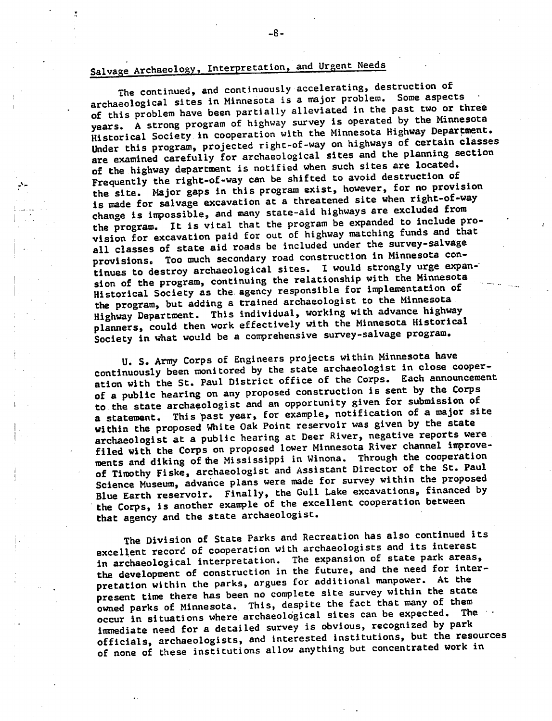# Salvage Archaeology, Interpretation, and Urgent Needs

The continued, and continuously accelerating, destruction of archaeological sites in Minnesota is a major problem. Some aspects of this problem have been partially alleviated in the past two or three years. A strong program of highway survey is operated by the Minnesota Historical Society in cooperation with the Minnesota Highway Department. Under this program, projected right-of-way on highways of certain classes are examined carefully for archaeological sites and the planning section of the highway department is notified when such sites are located. Frequently the right-of-way can be shifted to avoid destruction of the site. Major gaps in this program exist, however, for no provision is made for salvage excavation at a threatened site when right-of-way change is impossible, and many state-aid highways are excluded from the program. It is vital that the program be expanded to include pro vision for excavation paid for out of highway matching funds and that all classes of state aid roads be included under the survey-salvage provisions. Too much secondary road construction in Minnesota con tinues to destroy archaeological sites. I would strongly urge expansion of the program, continuing the relationship with the Minnesota Historical Society as the. agency responsible for implementation or the program, but adding a trained archaeologist to the Minnesota Highway Department. This individual, working with advance highway planners, could then work effectively with the Minnesota Historical Society in what would be a comprehensive survey-salvage program.

U. S. Army Corps of Engineers projects within Minnesota have continuously been monitored by the state archaeologist in close cooper ation with the St. Paul District office of the Corps. Each announcement of a public hearing on any proposed construction is sent by the Corps to the state archaeologist and an opportunity given for submission of a statement. This past year, for example, notification of a major site within the proposed White Oak Point reservoir was given by the state archaeologist at a public hearing at Deer River, negative reports were filed with the Corps on proposed lower Minnesota River channel improve ments and diking of the Mississippi in Winona. Through the cooperation of Timothy Fiske, archaeologist and Assistant Director of the St. Paul Science Museum, advance plans were made for survey within the proposed Blue Earth reservoir. Finally, the Gull Lake excavations, financed by the Corps, is another example of the excellent cooperation between that agency and the state archaeologist.

The Division of State Parks and Recreation has also continued its excellent record of cooperation with archaeologists and its interest in archaeological interpretation. The expansion of state park areas, the development of construction in the future, and the need for inter pretation within the parks, argues for additional manpower. At the present time there has been no complete site survey within the state owned parks of Minnesota. This, despite the fact that many of them occur in situations where archaeological sites can be expected. The immediate need for a detailed survey is obvious, recognized by park officials, archaeologists, and interested institutions, but the resources of none of these institutions allow anything but concentrated work in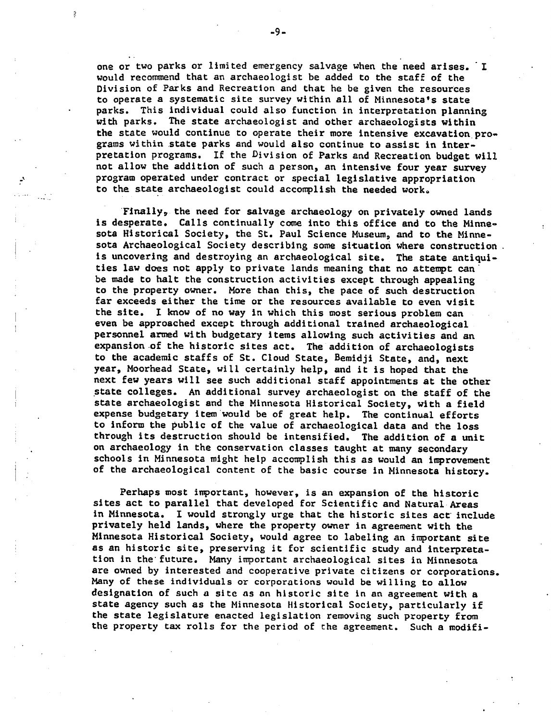one or two parks or limited emergency salvage when the need arises. would recommend that an archaeologist be added to the staff of the Division of Parks and Recreation and that he be given the resources to operate a systematic site survey within all of Minnesota's state parks. This individual could also function in interpretation planning with parks. The state archaeologist and other archaeologists within the state would continue to operate their more intensive excavation pro grams within state parks and would also continue to assist in inter pretation programs. If the Division of Parks and Recreation budget will not allow the addition of such a person, an intensive four year survey program operated under contract or special legislative appropriation to the state archaeologist could accomplish the needed worka

Finally,, the need for salvage archaeology on privately owned lands is desperate. Calls continually come into this office and to the Minne sota Historical Society, the St. Paul Science Museum, and to the Minne sota Archaeological Society describing some situation where construction is uncovering and destroying an archaeological site. The state antiqui ties law does not apply to private lands meaning that no attempt can be made to halt the construction activities except through appealing to the property owner. More than this, the pace of such destruction far exceeds either the time or the resources available to even visit the site. I know of no way in which this most serious problem can even be approached except through additional trained archaeological personnel armed with budgetary items allowing such activities and an expansion of the historic sites act. The addition of archaeologists to the academic staffs of St. Cloud State, Bemidji State, and, next year, Moorhead State, will certainly help, and it is hoped that the next few years will see such additional staff appointments at the other state colleges. An additional survey archaeologist on the staff of the state archaeologist and the Minnesota Historical Society, with a field expense budgetary item would be of great help. The continual efforts to inform the public of the value of archaeological data and the loss through its destruction should be intensified. The addition of a unit on archaeology in the conservation classes taught at many secondary schools in Minnesota might help accomplish this as would an improvement of the archaeological content of the basic course in Minnesota history.

Perhaps most important, however, is an expansion of the historic sites act to parallel that developed for Scientific and Natural Areas in Minnesota. I would strongly urge that the historic sites act include privately held lands, where the property owner in agreement with the Minnesota Historical Society, would agree to labeling an important site as an historic site, preserving it for scientific study and interpretation in the'future. Many important archaeological sites in Minnesota are owned by interested and cooperative private citizens or corporations. Many of these individuals or corporations would be willing to allow designation of such a site as an historic site in an agreement with a state agency such as the Minnesota Historical Society, particularly if the state legislature enacted legislation removing such property from the property tax rolls for the period of the agreement. Such a modifi